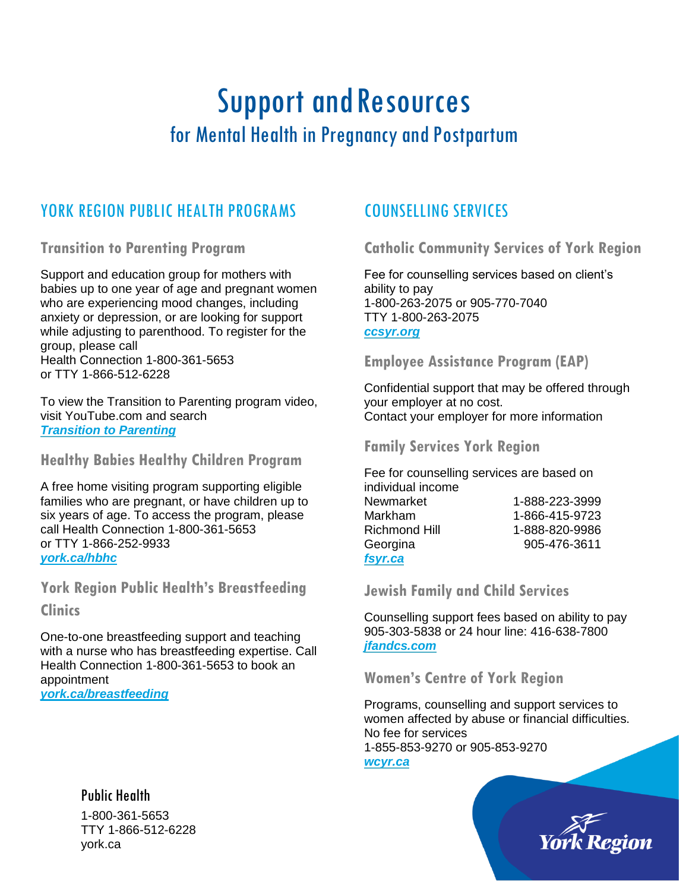# Support and Resources for Mental Health in Pregnancy and Postpartum

## YORK REGION PUBLIC HEALTH PROGRAMS

**Transition to Parenting Program**

Support and education group for mothers with babies up to one year of age and pregnant women who are experiencing mood changes, including anxiety or depression, or are looking for support while adjusting to parenthood. To register for the group, please call Health Connection 1-800-361-5653 or TTY 1-866-512-6228

To view the Transition to Parenting program video, visit YouTube.com and search *[Transition to Parenting](https://www.youtube.com/watch?v=s1KiMuzOaxQ&feature=youtu.be)*

**Healthy Babies Healthy Children Program**

A free home visiting program supporting eligible families who are pregnant, or have children up to six years of age. To access the program, please call Health Connection 1-800-361-5653 or TTY 1-866-252-9933 *[york.ca/hbhc](http://www.york.ca/hbhc)*

**York Region Public Health's Breastfeeding** 

#### **Clinics**

One-to-one breastfeeding support and teaching with a nurse who has breastfeeding expertise. Call Health Connection 1-800-361-5653 to book an appointment *[york.ca/breastfeeding](http://www.york.ca/breastfeeding)*

#### Public Health

1-800-361-5653 TTY 1-866-512-6228 york.ca

## COUNSELLING SERVICES

#### **Catholic Community Services of York Region**

Fee for counselling services based on client's ability to pay 1-800-263-2075 or 905-770-7040 TTY 1-800-263-2075 *[ccsyr.org](http://ccsyr.org/)*

#### **Employee Assistance Program (EAP)**

Confidential support that may be offered through your employer at no cost. Contact your employer for more information

**Family Services York Region**

Fee for counselling services are based on individual income Newmarket 1-888-223-3999 Markham 1-866-415-9723 Richmond Hill 1-888-820-9986 Georgina 905-476-3611 *[fsyr.ca](http://fsyr.ca/)*

**Jewish Family and Child Services**

Counselling support fees based on ability to pay 905-303-5838 or 24 hour line: 416-638-7800 *[jfandcs.com](http://www.jfandcs.com/)*

#### **Women's Centre of York Region**

Programs, counselling and support services to women affected by abuse or financial difficulties. No fee for services 1-855-853-9270 or 905-853-9270

*[wcyr.ca](http://www.wcyr.ca/)*

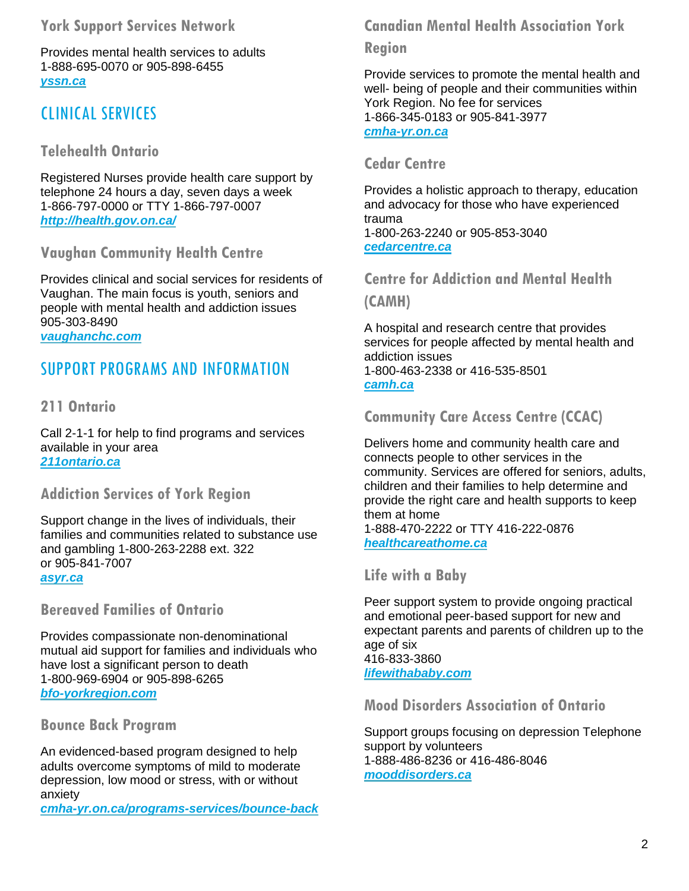#### **York Support Services Network**

Provides mental health services to adults 1-888-695-0070 or 905-898-6455 *[yssn.ca](http://www.yssn.ca/)*

## CLINICAL SERVICES

### **Telehealth Ontario**

Registered Nurses provide health care support by telephone 24 hours a day, seven days a week 1-866-797-0000 or TTY 1-866-797-0007 *<http://health.gov.on.ca/>*

#### **Vaughan Community Health Centre**

Provides clinical and social services for residents of Vaughan. The main focus is youth, seniors and people with mental health and addiction issues 905-303-8490 *[vaughanchc.com](http://www.vaughanchc.com/)*

## SUPPORT PROGRAMS AND INFORMATION

#### **211 Ontario**

Call 2-1-1 for help to find programs and services available in your area *[211ontario.ca](https://211ontario.ca/)*

#### **Addiction Services of York Region**

Support change in the lives of individuals, their families and communities related to substance use and gambling 1-800-263-2288 ext. 322 or 905-841-7007 *[asyr.ca](http://www.asyr.ca/)*

**Bereaved Families of Ontario**

Provides compassionate non-denominational mutual aid support for families and individuals who have lost a significant person to death 1-800-969-6904 or 905-898-6265 *[bfo-yorkregion.com](https://www.bfo-yorkregion.com/)*

#### **Bounce Back Program**

An evidenced-based program designed to help adults overcome symptoms of mild to moderate depression, low mood or stress, with or without anxiety

*[cmha-yr.on.ca/programs-services/bounce-back](http://cmha-yr.on.ca/programs-services/bounce-back/)*

### **Canadian Mental Health Association York**

#### **Region**

Provide services to promote the mental health and well- being of people and their communities within York Region. No fee for services 1-866-345-0183 or 905-841-3977 *[cmha-yr.on.ca](http://www.cmha-yr.on.ca/)*

#### **Cedar Centre**

Provides a holistic approach to therapy, education and advocacy for those who have experienced trauma 1-800-263-2240 or 905-853-3040 *[cedarcentre.ca](http://www.cedarcentre.ca/)*

### **Centre for Addiction and Mental Health**

**(CAMH)**

A hospital and research centre that provides services for people affected by mental health and addiction issues 1-800-463-2338 or 416-535-8501 *[camh.ca](https://www.camh.ca/)*

#### **Community Care Access Centre (CCAC)**

Delivers home and community health care and connects people to other services in the community. Services are offered for seniors, adults, children and their families to help determine and provide the right care and health supports to keep them at home

1-888-470-2222 or TTY 416-222-0876 *[healthcareathome.ca](http://healthcareathome.ca/)*

#### **Life with a Baby**

Peer support system to provide ongoing practical and emotional peer-based support for new and expectant parents and parents of children up to the age of six 416-833-3860 *[lifewithababy.com](http://lifewithababy.com/)*

#### **Mood Disorders Association of Ontario**

Support groups focusing on depression Telephone support by volunteers 1-888-486-8236 or 416-486-8046 *[mooddisorders.ca](http://mooddisorders.ca/)*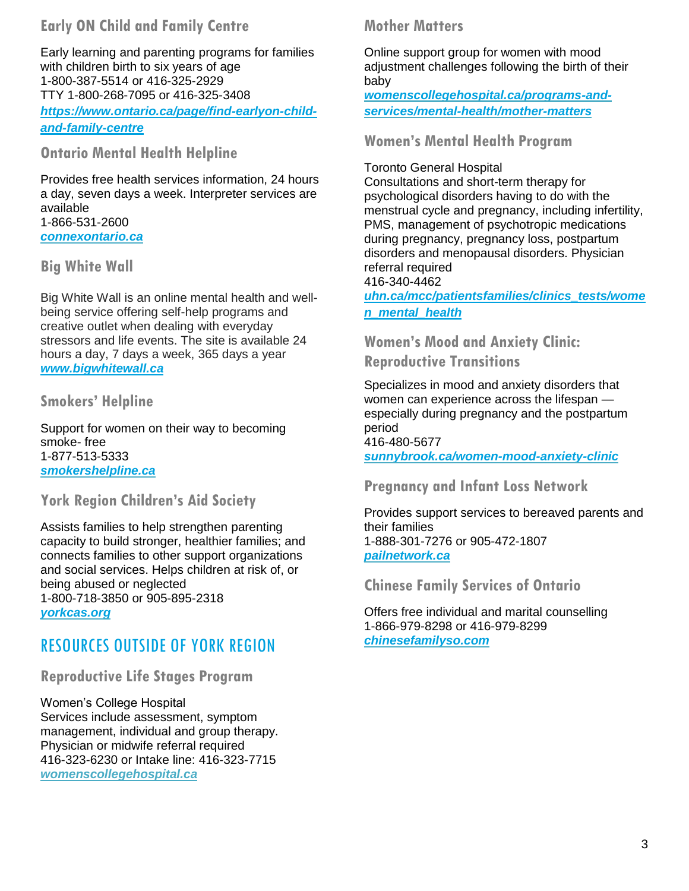#### **Early ON Child and Family Centre**

Early learning and parenting programs for families with children birth to six years of age 1-800-387-5514 or 416-325-2929 TTY 1-800-268-7095 or 416-325-3408 *[https://www.ontario.ca/page/find-earlyon-child](https://www.ontario.ca/page/find-earlyon-child-and-family-centre)[and-family-centre](https://www.ontario.ca/page/find-earlyon-child-and-family-centre)*

**Ontario Mental Health Helpline**

Provides free health services information, 24 hours a day, seven days a week. Interpreter services are available 1-866-531-2600 *[connexontario.ca](http://mentalhealthhelpline.ca/)*

#### **Big White Wall**

Big White Wall is an online mental health and wellbeing service offering self-help programs and creative outlet when dealing with everyday stressors and life events. The site is available 24 hours a day, 7 days a week, 365 days a year *[www.bigwhitewall.ca](http://www.bigwhitewall.ca/)*

#### **Smokers' Helpline**

Support for women on their way to becoming smoke- free 1-877-513-5333 *[smokershelpline.ca](http://smokershelpline.ca/)*

#### **York Region Children's Aid Society**

Assists families to help strengthen parenting capacity to build stronger, healthier families; and connects families to other support organizations and social services. Helps children at risk of, or being abused or neglected 1-800-718-3850 or 905-895-2318 *[yorkcas.org](http://www.yorkcas.org/Contact.asp)*

## RESOURCES OUTSIDE OF YORK REGION

**Reproductive Life Stages Program**

Women's College Hospital Services include assessment, symptom management, individual and group therapy. Physician or midwife referral required 416-323-6230 or Intake line: 416-323-7715 *[womenscollegehospital.ca](http://www.womenscollegehospital.ca/)*

#### **Mother Matters**

Online support group for women with mood adjustment challenges following the birth of their baby

*[womenscollegehospital.ca/programs-and](http://www.womenscollegehospital.ca/programs-and-services/mental-health/Mother-Matters)[services/mental-health/mother-matters](http://www.womenscollegehospital.ca/programs-and-services/mental-health/Mother-Matters)*

#### **Women's Mental Health Program**

#### Toronto General Hospital

Consultations and short-term therapy for psychological disorders having to do with the menstrual cycle and pregnancy, including infertility, PMS, management of psychotropic medications during pregnancy, pregnancy loss, postpartum disorders and menopausal disorders. Physician referral required

416-340-4462

*[uhn.ca/mcc/patientsfamilies/clinics\\_tests/wome](http://www.uhn.ca/mcc/patientsfamilies/clinics_tests/women_mental_health) [n\\_mental\\_health](http://www.uhn.ca/mcc/patientsfamilies/clinics_tests/women_mental_health)*

**Women's Mood and Anxiety Clinic: Reproductive Transitions**

Specializes in mood and anxiety disorders that women can experience across the lifespan especially during pregnancy and the postpartum period

416-480-5677 *[sunnybrook.ca/women-mood-anxiety-](http://sunnybrook.ca/content/?page=women-mood-anxiety-clinic-reproductive-transition)clinic*

#### **Pregnancy and Infant Loss Network**

Provides support services to bereaved parents and their families 1-888-301-7276 or 905-472-1807 *[pailnetwork.ca](http://pailnetwork.ca/)*

**Chinese Family Services of Ontario**

Offers free individual and marital counselling 1-866-979-8298 or 416-979-8299 *[chinesefamilyso.com](http://chinesefamilyso.com/en/index.asp)*